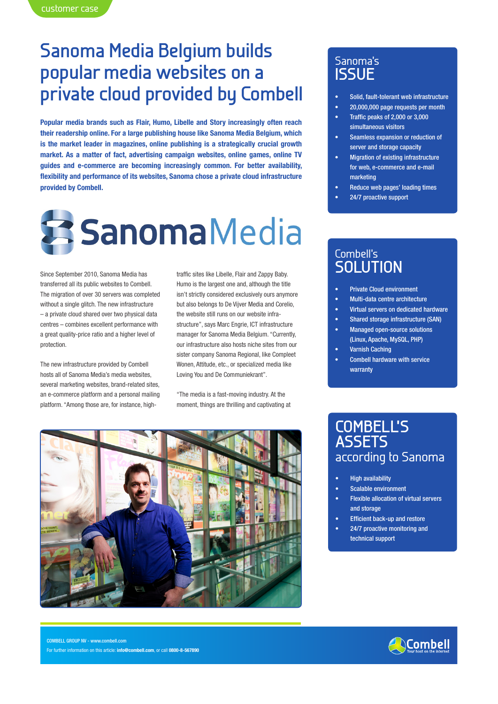# **Sanoma Media Belgium builds popular media websites on a private cloud provided by Combell**

**Popular media brands such as Flair, Humo, Libelle and Story increasingly often reach their readership online. For a large publishing house like Sanoma Media Belgium, which is the market leader in magazines, online publishing is a strategically crucial growth market. As a matter of fact, advertising campaign websites, online games, online TV guides and e-commerce are becoming increasingly common. For better availability, flexibility and performance of its websites, Sanoma chose a private cloud infrastructure provided by Combell.**



Since September 2010, Sanoma Media has transferred all its public websites to Combell. The migration of over 30 servers was completed without a single glitch. The new infrastructure – a private cloud shared over two physical data centres – combines excellent performance with a great quality-price ratio and a higher level of protection.

The new infrastructure provided by Combell hosts all of Sanoma Media's media websites, several marketing websites, brand-related sites, an e-commerce platform and a personal mailing platform. "Among those are, for instance, hightraffic sites like Libelle, Flair and Zappy Baby. Humo is the largest one and, although the title isn't strictly considered exclusively ours anymore but also belongs to De Vijver Media and Corelio, the website still runs on our website infrastructure", says Marc Engrie, ICT infrastructure manager for Sanoma Media Belgium. "Currently, our infrastructure also hosts niche sites from our sister company Sanoma Regional, like Compleet Wonen, Attitude, etc., or specialized media like Loving You and De Communiekrant".

"The media is a fast-moving industry. At the moment, things are thrilling and captivating at



### Sanoma's **ISSUE**

- Solid, fault-tolerant web infrastructure
- 20,000,000 page requests per month
- Traffic peaks of  $2,000$  or  $3,000$ simultaneous visitors
- Seamless expansion or reduction of server and storage capacity
- **Migration of existing infrastructure** for web, e-commerce and e-mail marketing
- Reduce web pages' loading times
- 24/7 proactive support

### Combell's **SOLUTION**

- **Private Cloud environment**
- • Multi-data centre architecture
- Virtual servers on dedicated hardware
- Shared storage infrastructure (SAN)
- **Managed open-source solutions** (Linux, Apache, MySQL, PHP)
- **Varnish Caching**
- **Combell hardware with service** warranty

### **COMBELL'S ASSETS**  according to Sanoma

- **High availability**
- Scalable environment
- **Flexible allocation of virtual servers** and storage
- **Efficient back-up and restore**
- 24/7 proactive monitoring and technical support

COMBELL GROUP NV - www.combell.com For further information on this article: **info@combell.com**, or call **0800-8-567890**

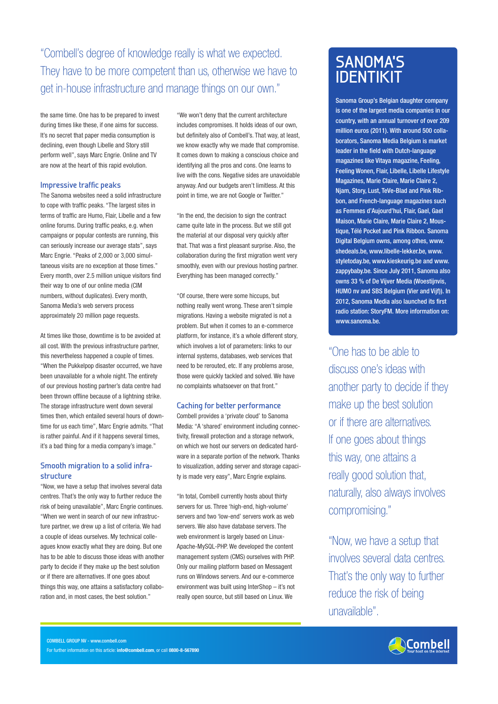"Combell's degree of knowledge really is what we expected. They have to be more competent than us, otherwise we have to get in-house infrastructure and manage things on our own."

the same time. One has to be prepared to invest during times like these, if one aims for success. It's no secret that paper media consumption is declining, even though Libelle and Story still perform well", says Marc Engrie. Online and TV are now at the heart of this rapid evolution.

#### **Impressive traffic peaks**

The Sanoma websites need a solid infrastructure to cope with traffic peaks. "The largest sites in terms of traffic are Humo, Flair, Libelle and a few online forums. During traffic peaks, e.g. when campaigns or popular contests are running, this can seriously increase our average stats", says Marc Engrie. "Peaks of 2,000 or 3,000 simultaneous visits are no exception at those times." Every month, over 2.5 million unique visitors find their way to one of our online media (CIM numbers, without duplicates). Every month, Sanoma Media's web servers process approximately 20 million page requests.

At times like those, downtime is to be avoided at all cost. With the previous infrastructure partner, this nevertheless happened a couple of times. "When the Pukkelpop disaster occurred, we have been unavailable for a whole night. The entirety of our previous hosting partner's data centre had been thrown offline because of a lightning strike. The storage infrastructure went down several times then, which entailed several hours of downtime for us each time", Marc Engrie admits. "That is rather painful. And if it happens several times, it's a bad thing for a media company's image."

#### **Smooth migration to a solid infrastructure**

"Now, we have a setup that involves several data centres. That's the only way to further reduce the risk of being unavailable", Marc Engrie continues. "When we went in search of our new infrastructure partner, we drew up a list of criteria. We had a couple of ideas ourselves. My technical colleagues know exactly what they are doing. But one has to be able to discuss those ideas with another party to decide if they make up the best solution or if there are alternatives. If one goes about things this way, one attains a satisfactory collaboration and, in most cases, the best solution."

"We won't deny that the current architecture includes compromises. It holds ideas of our own, but definitely also of Combell's. That way, at least, we know exactly why we made that compromise. It comes down to making a conscious choice and identifying all the pros and cons. One learns to live with the cons. Negative sides are unavoidable anyway. And our budgets aren't limitless. At this point in time, we are not Google or Twitter."

"In the end, the decision to sign the contract came quite late in the process. But we still got the material at our disposal very quickly after that. That was a first pleasant surprise. Also, the collaboration during the first migration went very smoothly, even with our previous hosting partner. Everything has been managed correctly."

"Of course, there were some hiccups, but nothing really went wrong. These aren't simple migrations. Having a website migrated is not a problem. But when it comes to an e-commerce platform, for instance, it's a whole different story, which involves a lot of parameters: links to our internal systems, databases, web services that need to be rerouted, etc. If any problems arose, those were quickly tackled and solved. We have no complaints whatsoever on that front."

#### **Caching for better performance**

Combell provides a 'private cloud' to Sanoma Media: "A 'shared' environment including connectivity, firewall protection and a storage network, on which we host our servers on dedicated hardware in a separate portion of the network. Thanks to visualization, adding server and storage capacity is made very easy", Marc Engrie explains.

"In total, Combell currently hosts about thirty servers for us. Three 'high-end, high-volume' servers and two 'low-end' servers work as web servers. We also have database servers. The web environment is largely based on Linux-Apache-MySQL-PHP. We developed the content management system (CMS) ourselves with PHP. Only our mailing platform based on Messagent runs on Windows servers. And our e-commerce environment was built using InterShop – it's not really open source, but still based on Linux. We

## **SANOMA'S IDENTIKIT**

Sanoma Group's Belgian daughter company is one of the largest media companies in our country, with an annual turnover of over 209 million euros (2011). With around 500 collaborators, Sanoma Media Belgium is market leader in the field with Dutch-language magazines like Vitaya magazine, Feeling, Feeling Wonen, Flair, Libelle, Libelle Lifestyle Magazines, Marie Claire, Marie Claire 2, Njam, Story, Lust, TeVe-Blad and Pink Ribbon, and French-language magazines such as Femmes d'Aujourd'hui, Flair, Gael, Gael Maison, Marie Claire, Marie Claire 2, Moustique, Télé Pocket and Pink Ribbon. Sanoma Digital Belgium owns, among othes, www. shedeals.be, www.libelle-lekker.be, www. styletoday.be, www.kieskeurig.be and www. zappybaby.be. Since July 2011, Sanoma also owns 33 % of De Vijver Media (Woestijnvis, HUMO nv and SBS Belgium (Vier and Vijf)). In 2012, Sanoma Media also launched its first radio station: StoryFM. More information on: www.sanoma.be.

"One has to be able to discuss one's ideas with another party to decide if they make up the best solution or if there are alternatives. If one goes about things this way, one attains a really good solution that, naturally, also always involves compromising."

"Now, we have a setup that involves several data centres. That's the only way to further reduce the risk of being unavailable".